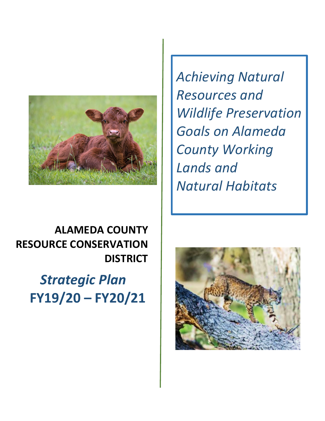

*Achieving Natural Resources and Wildlife Preservation Goals on Alameda County Working Lands and Natural Habitats*

# **ALAMEDA COUNTY RESOURCE CONSERVATION DISTRICT**

*Strategic Plan* **FY19/20 – FY20/21**

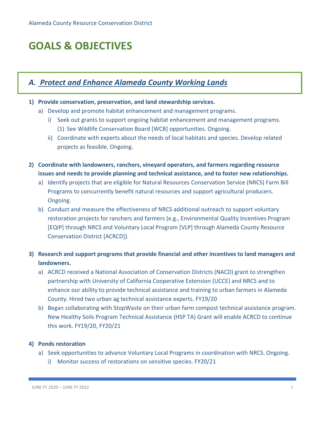# **GOALS & OBJECTIVES**

## *A. Protect and Enhance Alameda County Working Lands*

#### **1) Provide conservation, preservation, and land stewardship services.**

- a) Develop and promote habitat enhancement and management programs.
	- i) Seek out grants to support ongoing habitat enhancement and management programs. (1) See Wildlife Conservation Board [WCB] opportunities. Ongoing.
	- ii) Coordinate with experts about the needs of local habitats and species. Develop related projects as feasible. Ongoing.
- **2) Coordinate with landowners, ranchers, vineyard operators, and farmers regarding resource issues and needs to provide planning and technical assistance, and to foster new relationships.**
	- a) Identify projects that are eligible for Natural Resources Conservation Service (NRCS) Farm Bill Programs to concurrently benefit natural resources and support agricultural producers. Ongoing.
	- b) Conduct and measure the effectiveness of NRCS additional outreach to support voluntary restoration projects for ranchers and farmers (e.g., Environmental Quality Incentives Program [EQIP] through NRCS and Voluntary Local Program [VLP] through Alameda County Resource Conservation District [ACRCD]).
- **3) Research and support programs that provide financial and other incentives to land managers and landowners.**
	- a) ACRCD received a National Association of Conservation Districts (NACD) grant to strengthen partnership with University of California Cooperative Extension (UCCE) and NRCS and to enhance our ability to provide technical assistance and training to urban farmers in Alameda County. Hired two urban ag technical assistance experts. FY19/20
	- b) Began collaborating with StopWaste on their urban farm compost technical assistance program. New Healthy Soils Program Technical Assistance (HSP TA) Grant will enable ACRCD to continue this work. FY19/20, FY20/21

#### **4) Ponds restoration**

- a) Seek opportunities to advance Voluntary Local Programs in coordination with NRCS. Ongoing.
	- i) Monitor success of restorations on sensitive species. FY20/21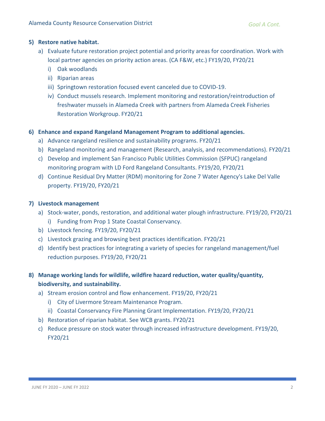#### **5) Restore native habitat.**

- a) Evaluate future restoration project potential and priority areas for coordination. Work with local partner agencies on priority action areas. (CA F&W, etc.) FY19/20, FY20/21
	- i) Oak woodlands
	- ii) Riparian areas
	- iii) Springtown restoration focused event canceled due to COVID-19.
	- iv) Conduct mussels research. Implement monitoring and restoration/reintroduction of freshwater mussels in Alameda Creek with partners from Alameda Creek Fisheries Restoration Workgroup. FY20/21

#### **6) Enhance and expand Rangeland Management Program to additional agencies.**

- a) Advance rangeland resilience and sustainability programs. FY20/21
- b) Rangeland monitoring and management (Research, analysis, and recommendations). FY20/21
- c) Develop and implement San Francisco Public Utilities Commission (SFPUC) rangeland monitoring program with LD Ford Rangeland Consultants. FY19/20, FY20/21
- d) Continue Residual Dry Matter (RDM) monitoring for Zone 7 Water Agency's Lake Del Valle property. FY19/20, FY20/21

#### **7) Livestock management**

- a) Stock-water, ponds, restoration, and additional water plough infrastructure. FY19/20, FY20/21 i) Funding from Prop 1 State Coastal Conservancy.
- b) Livestock fencing. FY19/20, FY20/21
- c) Livestock grazing and browsing best practices identification. FY20/21
- d) Identify best practices for integrating a variety of species for rangeland management/fuel reduction purposes. FY19/20, FY20/21
- **8) Manage working lands for wildlife, wildfire hazard reduction, water quality/quantity, biodiversity, and sustainability.**
	- a) Stream erosion control and flow enhancement. FY19/20, FY20/21
		- i) City of Livermore Stream Maintenance Program.
		- ii) Coastal Conservancy Fire Planning Grant Implementation. FY19/20, FY20/21
	- b) Restoration of riparian habitat. See WCB grants. FY20/21
	- c) Reduce pressure on stock water through increased infrastructure development. FY19/20, FY20/21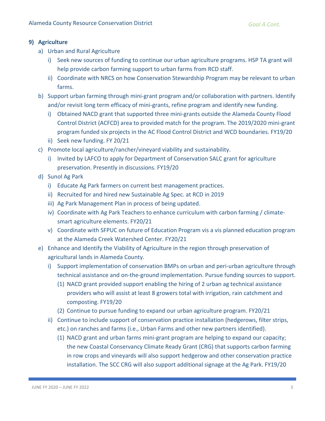### **9) Agriculture**

- a) Urban and Rural Agriculture
	- i) Seek new sources of funding to continue our urban agriculture programs. HSP TA grant will help provide carbon farming support to urban farms from RCD staff.
	- ii) Coordinate with NRCS on how Conservation Stewardship Program may be relevant to urban farms.
- b) Support urban farming through mini-grant program and/or collaboration with partners. Identify and/or revisit long term efficacy of mini-grants, refine program and identify new funding.
	- i) Obtained NACD grant that supported three mini-grants outside the Alameda County Flood Control District (ACFCD) area to provided match for the program. The 2019/2020 mini-grant program funded six projects in the AC Flood Control District and WCD boundaries. FY19/20
	- ii) Seek new funding. FY 20/21
- c) Promote local agriculture/rancher/vineyard viability and sustainability.
	- i) Invited by LAFCO to apply for Department of Conservation SALC grant for agriculture preservation. Presently in discussions. FY19/20
- d) Sunol Ag Park
	- i) Educate Ag Park farmers on current best management practices.
	- ii) Recruited for and hired new Sustainable Ag Spec. at RCD in 2019
	- iii) Ag Park Management Plan in process of being updated.
	- iv) Coordinate with Ag Park Teachers to enhance curriculum with carbon farming / climatesmart agriculture elements. FY20/21
	- v) Coordinate with SFPUC on future of Education Program vis a vis planned education program at the Alameda Creek Watershed Center. FY20/21
- e) Enhance and Identify the Viability of Agriculture in the region through preservation of agricultural lands in Alameda County.
	- i) Support implementation of conservation BMPs on urban and peri-urban agriculture through technical assistance and on-the-ground implementation. Pursue funding sources to support.
		- (1) NACD grant provided support enabling the hiring of 2 urban ag technical assistance providers who will assist at least 8 growers total with irrigation, rain catchment and composting. FY19/20
		- (2) Continue to pursue funding to expand our urban agriculture program. FY20/21
	- ii) Continue to include support of conservation practice installation (hedgerows, filter strips, etc.) on ranches and farms (i.e., Urban Farms and other new partners identified).
		- (1) NACD grant and urban farms mini-grant program are helping to expand our capacity; the new Coastal Conservancy Climate Ready Grant (CRG) that supports carbon farming in row crops and vineyards will also support hedgerow and other conservation practice installation. The SCC CRG will also support additional signage at the Ag Park. FY19/20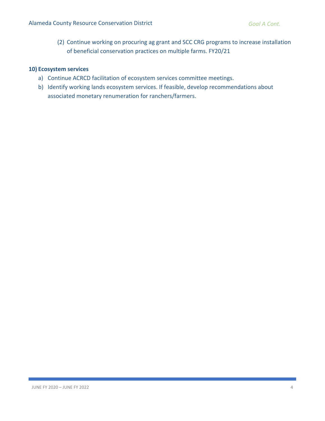(2) Continue working on procuring ag grant and SCC CRG programs to increase installation of beneficial conservation practices on multiple farms. FY20/21

#### **10) Ecosystem services**

- a) Continue ACRCD facilitation of ecosystem services committee meetings.
- b) Identify working lands ecosystem services. If feasible, develop recommendations about associated monetary renumeration for ranchers/farmers.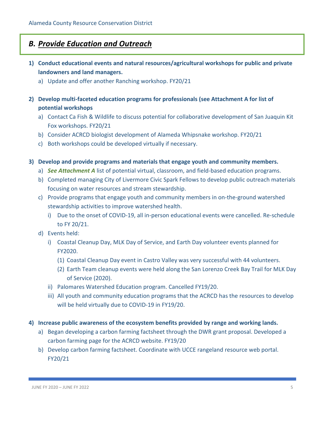## *B. Provide Education and Outreach*

- **1) Conduct educational events and natural resources/agricultural workshops for public and private landowners and land managers.**
	- a) Update and offer another Ranching workshop. FY20/21
- **2) Develop multi-faceted education programs for professionals (see Attachment A for list of potential workshops**
	- a) Contact Ca Fish & Wildlife to discuss potential for collaborative development of San Juaquin Kit Fox workshops. FY20/21
	- b) Consider ACRCD biologist development of Alameda Whipsnake workshop. FY20/21
	- c) Both workshops could be developed virtually if necessary.
- **3) Develop and provide programs and materials that engage youth and community members.**
	- a) *See Attachment A* list of potential virtual, classroom, and field-based education programs.
	- b) Completed managing City of Livermore Civic Spark Fellows to develop public outreach materials focusing on water resources and stream stewardship.
	- c) Provide programs that engage youth and community members in on-the-ground watershed stewardship activities to improve watershed health.
		- i) Due to the onset of COVID-19, all in-person educational events were cancelled. Re-schedule to FY 20/21.
	- d) Events held:
		- i) Coastal Cleanup Day, MLK Day of Service, and Earth Day volunteer events planned for FY2020.
			- (1) Coastal Cleanup Day event in Castro Valley was very successful with 44 volunteers.
			- (2) Earth Team cleanup events were held along the San Lorenzo Creek Bay Trail for MLK Day of Service (2020).
		- ii) Palomares Watershed Education program. Cancelled FY19/20.
		- iii) All youth and community education programs that the ACRCD has the resources to develop will be held virtually due to COVID-19 in FY19/20.
- **4) Increase public awareness of the ecosystem benefits provided by range and working lands.**
	- a) Began developing a carbon farming factsheet through the DWR grant proposal. Developed a carbon farming page for the ACRCD website. FY19/20
	- b) Develop carbon farming factsheet. Coordinate with UCCE rangeland resource web portal. FY20/21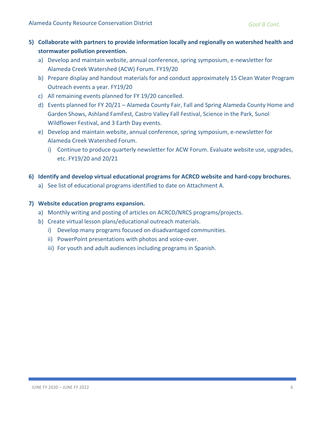- **5) Collaborate with partners to provide information locally and regionally on watershed health and stormwater pollution prevention.**
	- a) Develop and maintain website, annual conference, spring symposium, e-newsletter for Alameda Creek Watershed (ACW) Forum. FY19/20
	- b) Prepare display and handout materials for and conduct approximately 15 Clean Water Program Outreach events a year. FY19/20
	- c) All remaining events planned for FY 19/20 cancelled.
	- d) Events planned for FY 20/21 Alameda County Fair, Fall and Spring Alameda County Home and Garden Shows, Ashland FamFest, Castro Valley Fall Festival, Science in the Park, Sunol Wildflower Festival, and 3 Earth Day events.
	- e) Develop and maintain website, annual conference, spring symposium, e-newsletter for Alameda Creek Watershed Forum.
		- i) Continue to produce quarterly newsletter for ACW Forum. Evaluate website use, upgrades, etc. FY19/20 and 20/21
- **6) Identify and develop virtual educational programs for ACRCD website and hard-copy brochures.**
	- a) See list of educational programs identified to date on Attachment A.

#### **7) Website education programs expansion.**

- a) Monthly writing and posting of articles on ACRCD/NRCS programs/projects.
- b) Create virtual lesson plans/educational outreach materials.
	- i) Develop many programs focused on disadvantaged communities.
	- ii) PowerPoint presentations with photos and voice-over.
	- iii) For youth and adult audiences including programs in Spanish.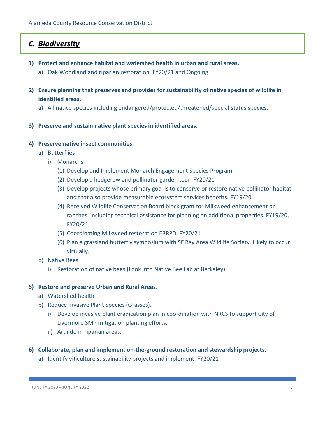## *C. Biodiversity*

- **1) Protect and enhance habitat and watershed health in urban and rural areas.**
	- a) Oak Woodland and riparian restoration. FY20/21 and Ongoing.
- **2) Ensure planning that preserves and provides for sustainability of native species of wildlife in identified areas.**
	- a) All native species including endangered/protected/threatened/special status species.
- **3) Preserve and sustain native plant species in identified areas.**

#### **4) Preserve native insect communities.**

- a) Butterflies
	- i) Monarchs
		- (1) Develop and Implement Monarch Engagement Species Program.
		- (2) Develop a hedgerow and pollinator garden tour. FY20/21
		- (3) Develop projects whose primary goal is to conserve or restore native pollinator habitat and that also provide measurable ecosystem services benefits. FY19/20
		- (4) Received Wildlife Conservation Board block grant for Milkweed enhancement on ranches, including technical assistance for planning on additional properties. FY19/20, FY20/21
		- (5) Coordinating Milkweed restoration EBRPD. FY20/21
		- (6) Plan a grassland butterfly symposium with SF Bay Area Wildlife Society. Likely to occur virtually.
- b) Native Bees
	- i) Restoration of native bees (Look into Native Bee Lab at Berkeley).

#### **5) Restore and preserve Urban and Rural Areas.**

- a) Watershed health
- b) Reduce Invasive Plant Species (Grasses).
	- i) Develop invasive plant eradication plan in coordination with NRCS to support City of Livermore SMP mitigation planting efforts.
	- ii) Arundo in riparian areas.

#### **6) Collaborate, plan and implement on-the-ground restoration and stewardship projects.**

a) Identify viticulture sustainability projects and implement. FY20/21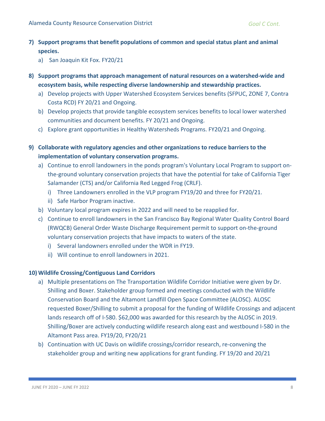- **7) Support programs that benefit populations of common and special status plant and animal species.**
	- a) San Joaquin Kit Fox. FY20/21
- **8) Support programs that approach management of natural resources on a watershed-wide and ecosystem basis, while respecting diverse landownership and stewardship practices.**
	- a) Develop projects with Upper Watershed Ecosystem Services benefits (SFPUC, ZONE 7, Contra Costa RCD) FY 20/21 and Ongoing.
	- b) Develop projects that provide tangible ecosystem services benefits to local lower watershed communities and document benefits. FY 20/21 and Ongoing.
	- c) Explore grant opportunities in Healthy Watersheds Programs. FY20/21 and Ongoing.
- **9) Collaborate with regulatory agencies and other organizations to reduce barriers to the implementation of voluntary conservation programs.**
	- a) Continue to enroll landowners in the ponds program's Voluntary Local Program to support onthe-ground voluntary conservation projects that have the potential for take of California Tiger Salamander (CTS) and/or California Red Legged Frog (CRLF).
		- i) Three Landowners enrolled in the VLP program FY19/20 and three for FY20/21.
		- ii) Safe Harbor Program inactive.
	- b) Voluntary local program expires in 2022 and will need to be reapplied for.
	- c) Continue to enroll landowners in the San Francisco Bay Regional Water Quality Control Board (RWQCB) General Order Waste Discharge Requirement permit to support on-the-ground voluntary conservation projects that have impacts to waters of the state.
		- i) Several landowners enrolled under the WDR in FY19.
		- ii) Will continue to enroll landowners in 2021.

#### **10) Wildlife Crossing/Contiguous Land Corridors**

- a) Multiple presentations on The Transportation Wildlife Corridor Initiative were given by Dr. Shilling and Boxer. Stakeholder group formed and meetings conducted with the Wildlife Conservation Board and the Altamont Landfill Open Space Committee (ALOSC). ALOSC requested Boxer/Shilling to submit a proposal for the funding of Wildlife Crossings and adjacent lands research off of I-580. \$62,000 was awarded for this research by the ALOSC in 2019. Shilling/Boxer are actively conducting wildlife research along east and westbound I-580 in the Altamont Pass area. FY19/20, FY20/21
- b) Continuation with UC Davis on wildlife crossings/corridor research, re-convening the stakeholder group and writing new applications for grant funding. FY 19/20 and 20/21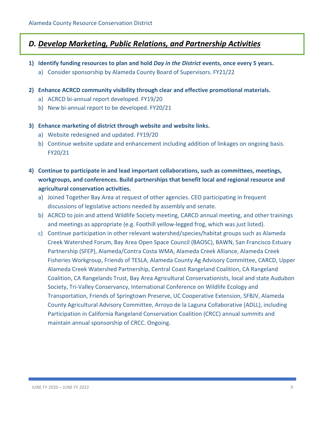## *D. Develop Marketing, Public Relations, and Partnership Activities*

- **1) Identify funding resources to plan and hold** *Day in the District* **events, once every 5 years.**
	- a) Consider sponsorship by Alameda County Board of Supervisors. FY21/22
- **2) Enhance ACRCD community visibility through clear and effective promotional materials.**
	- a) ACRCD bi-annual report developed. FY19/20
	- b) New bi-annual report to be developed. FY20/21
- **3) Enhance marketing of district through website and website links.**
	- a) Website redesigned and updated. FY19/20
	- b) Continue website update and enhancement including addition of linkages on ongoing basis. FY20/21
- **4) Continue to participate in and lead important collaborations, such as committees, meetings, workgroups, and conferences. Build partnerships that benefit local and regional resource and agricultural conservation activities.**
	- a) Joined Together Bay Area at request of other agencies. CEO participating in frequent discussions of legislative actions needed by assembly and senate.
	- b) ACRCD to join and attend Wildlife Society meeting, CARCD annual meeting, and other trainings and meetings as appropriate (e.g. Foothill yellow-legged frog, which was just listed).
	- c) Continue participation in other relevant watershed/species/habitat groups such as Alameda Creek Watershed Forum, Bay Area Open Space Council (BAOSC), BAWN, San Francisco Estuary Partnership (SFEP), Alameda/Contra Costa WMA, Alameda Creek Alliance, Alameda Creek Fisheries Workgroup, Friends of TESLA, Alameda County Ag Advisory Committee, CARCD, Upper Alameda Creek Watershed Partnership, Central Coast Rangeland Coalition, CA Rangeland Coalition, CA Rangelands Trust, Bay Area Agricultural Conservationists, local and state Audubon Society, Tri-Valley Conservancy, International Conference on Wildlife Ecology and Transportation, Friends of Springtown Preserve, UC Cooperative Extension, SFBJV, Alameda County Agricultural Advisory Committee, Arroyo de la Laguna Collaborative (ADLL), including Participation in California Rangeland Conservation Coalition (CRCC) annual summits and maintain annual sponsorship of CRCC. Ongoing.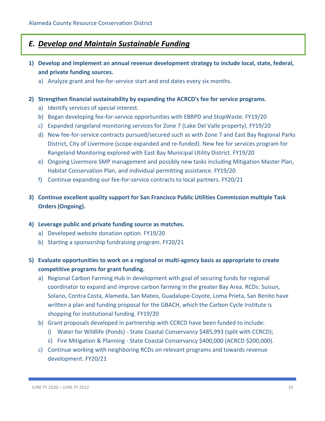## *E. Develop and Maintain Sustainable Funding*

- **1) Develop and implement an annual revenue development strategy to include local, state, federal, and private funding sources.**
	- a) Analyze grant and fee-for-service start and end dates every six months.
- **2) Strengthen financial sustainability by expanding the ACRCD's fee for service programs.**
	- a) Identify services of special interest.
	- b) Began developing fee-for-service opportunities with EBRPD and StopWaste. FY19/20
	- c) Expanded rangeland monitoring services for Zone 7 (Lake Del Valle property). FY19/20
	- d) New fee-for-service contracts pursued/secured such as with Zone 7 and East Bay Regional Parks District, City of Livermore (scope expanded and re-funded). New fee for services program for Rangeland Monitoring explored with East Bay Municipal Utility District. FY19/20
	- e) Ongoing Livermore SMP management and possibly new tasks including Mitigation Master Plan, Habitat Conservation Plan, and individual permitting assistance. FY19/20
	- f) Continue expanding our fee-for-service contracts to local partners. FY20/21
- **3) Continue excellent quality support for San Francisco Public Utilities Commission multiple Task Orders (Ongoing).**
- **4) Leverage public and private funding source as matches.**
	- a) Developed website donation option. FY19/20
	- b) Starting a sponsorship fundraising program. FY20/21
- **5) Evaluate opportunities to work on a regional or multi-agency basis as appropriate to create competitive programs for grant funding.**
	- a) Regional Carbon Farming Hub in development with goal of securing funds for regional coordinator to expand and improve carbon farming in the greater Bay Area. RCDs: Suisun, Solano, Contra Costa, Alameda, San Mateo, Guadalupe-Coyote, Loma Prieta, San Benito have written a plan and funding proposal for the GBACH, which the Carbon Cycle Institute is shopping for institutional funding. FY19/20
	- b) Grant proposals developed in partnership with CCRCD have been funded to include:
		- i) Water for Wildlife (Ponds) State Coastal Conservancy \$485,993 (split with CCRCD);
		- ii) Fire Mitigation & Planning State Coastal Conservancy \$400,000 (ACRCD \$200,000).
	- c) Continue working with neighboring RCDs on relevant programs and towards revenue development. FY20/21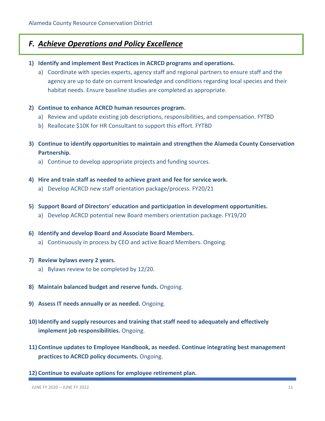## *F. Achieve Operations and Policy Excellence*

- **1) Identify and implement Best Practices in ACRCD programs and operations.**
	- a) Coordinate with species experts, agency staff and regional partners to ensure staff and the agency are up to date on current knowledge and conditions regarding local species and their habitat needs. Ensure baseline studies are completed as appropriate.
- **2) Continue to enhance ACRCD human resources program.**
	- a) Review and update existing job descriptions, responsibilities, and compensation. FYTBD
	- b) Reallocate \$10K for HR Consultant to support this effort. FYTBD
- **3) Continue to identify opportunities to maintain and strengthen the Alameda County Conservation Partnership.**
	- a) Continue to develop appropriate projects and funding sources.
- **4) Hire and train staff as needed to achieve grant and fee for service work.**
	- a) Develop ACRCD new staff orientation package/process. FY20/21
- **5) Support Board of Directors' education and participation in development opportunities.**
	- a) Develop ACRCD potential new Board members orientation package. FY19/20
- **6) Identify and develop Board and Associate Board Members.**
	- a) Continuously in process by CEO and active Board Members. Ongoing.
- **7) Review bylaws every 2 years.** 
	- a) Bylaws review to be completed by 12/20.
- **8) Maintain balanced budget and reserve funds.** Ongoing.
- **9) Assess IT needs annually or as needed.** Ongoing.
- **10) Identify and supply resources and training that staff need to adequately and effectively implement job responsibilities.** Ongoing.
- **11) Continue updates to Employee Handbook, as needed. Continue integrating best management practices to ACRCD policy documents.** Ongoing.
- **12) Continue to evaluate options for employee retirement plan.**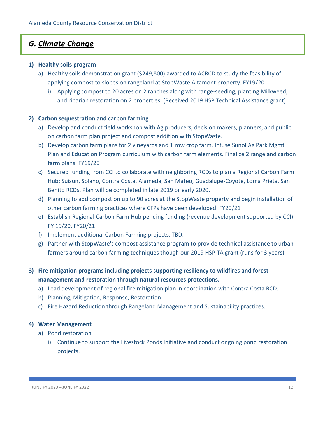## *G. Climate Change*

#### **1) Healthy soils program**

- a) Healthy soils demonstration grant (\$249,800) awarded to ACRCD to study the feasibility of applying compost to slopes on rangeland at StopWaste Altamont property. FY19/20
	- i) Applying compost to 20 acres on 2 ranches along with range-seeding, planting Milkweed, and riparian restoration on 2 properties. (Received 2019 HSP Technical Assistance grant)

#### **2) Carbon sequestration and carbon farming**

- a) Develop and conduct field workshop with Ag producers, decision makers, planners, and public on carbon farm plan project and compost addition with StopWaste.
- b) Develop carbon farm plans for 2 vineyards and 1 row crop farm. Infuse Sunol Ag Park Mgmt Plan and Education Program curriculum with carbon farm elements. Finalize 2 rangeland carbon farm plans. FY19/20
- c) Secured funding from CCI to collaborate with neighboring RCDs to plan a Regional Carbon Farm Hub: Suisun, Solano, Contra Costa, Alameda, San Mateo, Guadalupe-Coyote, Loma Prieta, San Benito RCDs. Plan will be completed in late 2019 or early 2020.
- d) Planning to add compost on up to 90 acres at the StopWaste property and begin installation of other carbon farming practices where CFPs have been developed. FY20/21
- e) Establish Regional Carbon Farm Hub pending funding (revenue development supported by CCI) FY 19/20, FY20/21
- f) Implement additional Carbon Farming projects. TBD.
- g) Partner with StopWaste's compost assistance program to provide technical assistance to urban farmers around carbon farming techniques though our 2019 HSP TA grant (runs for 3 years).

### **3) Fire mitigation programs including projects supporting resiliency to wildfires and forest management and restoration through natural resources protections.**

- a) Lead development of regional fire mitigation plan in coordination with Contra Costa RCD.
- b) Planning, Mitigation, Response, Restoration
- c) Fire Hazard Reduction through Rangeland Management and Sustainability practices.

#### **4) Water Management**

- a) Pond restoration
	- i) Continue to support the Livestock Ponds Initiative and conduct ongoing pond restoration projects.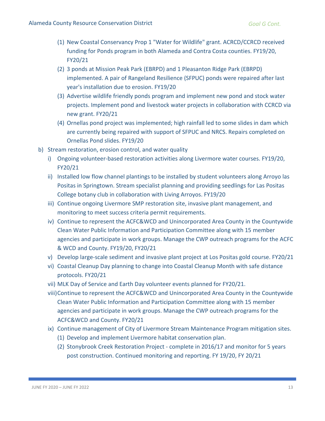- (1) New Coastal Conservancy Prop 1 "Water for Wildlife" grant. ACRCD/CCRCD received funding for Ponds program in both Alameda and Contra Costa counties. FY19/20, FY20/21
- (2) 3 ponds at Mission Peak Park (EBRPD) and 1 Pleasanton Ridge Park (EBRPD) implemented. A pair of Rangeland Resilience (SFPUC) ponds were repaired after last year's installation due to erosion. FY19/20
- (3) Advertise wildlife friendly ponds program and implement new pond and stock water projects. Implement pond and livestock water projects in collaboration with CCRCD via new grant. FY20/21
- (4) Ornellas pond project was implemented; high rainfall led to some slides in dam which are currently being repaired with support of SFPUC and NRCS. Repairs completed on Ornellas Pond slides. FY19/20
- b) Stream restoration, erosion control, and water quality
	- i) Ongoing volunteer-based restoration activities along Livermore water courses. FY19/20, FY20/21
	- ii) Installed low flow channel plantings to be installed by student volunteers along Arroyo las Positas in Springtown. Stream specialist planning and providing seedlings for Las Positas College botany club in collaboration with Living Arroyos. FY19/20
	- iii) Continue ongoing Livermore SMP restoration site, invasive plant management, and monitoring to meet success criteria permit requirements.
	- iv) Continue to represent the ACFC&WCD and Unincorporated Area County in the Countywide Clean Water Public Information and Participation Committee along with 15 member agencies and participate in work groups. Manage the CWP outreach programs for the ACFC & WCD and County. FY19/20, FY20/21
	- v) Develop large-scale sediment and invasive plant project at Los Positas gold course. FY20/21
	- vi) Coastal Cleanup Day planning to change into Coastal Cleanup Month with safe distance protocols. FY20/21
	- vii) MLK Day of Service and Earth Day volunteer events planned for FY20/21.
	- viii)Continue to represent the ACFC&WCD and Unincorporated Area County in the Countywide Clean Water Public Information and Participation Committee along with 15 member agencies and participate in work groups. Manage the CWP outreach programs for the ACFC&WCD and County. FY20/21
	- ix) Continue management of City of Livermore Stream Maintenance Program mitigation sites.
		- (1) Develop and implement Livermore habitat conservation plan.
		- (2) Stonybrook Creek Restoration Project complete in 2016/17 and monitor for 5 years post construction. Continued monitoring and reporting. FY 19/20, FY 20/21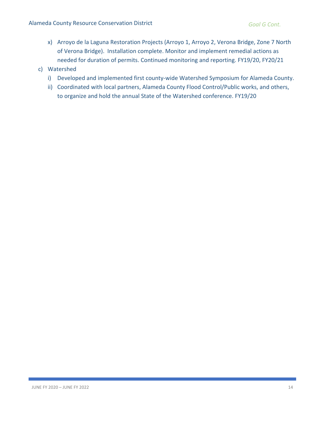- x) Arroyo de la Laguna Restoration Projects (Arroyo 1, Arroyo 2, Verona Bridge, Zone 7 North of Verona Bridge). Installation complete. Monitor and implement remedial actions as needed for duration of permits. Continued monitoring and reporting. FY19/20, FY20/21
- c) Watershed
	- i) Developed and implemented first county-wide Watershed Symposium for Alameda County.
	- ii) Coordinated with local partners, Alameda County Flood Control/Public works, and others, to organize and hold the annual State of the Watershed conference. FY19/20